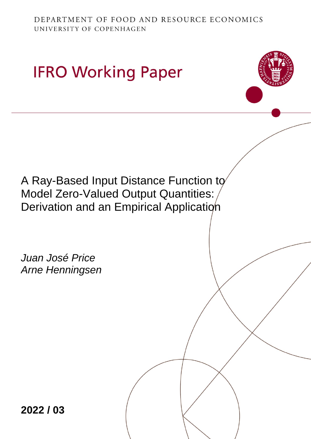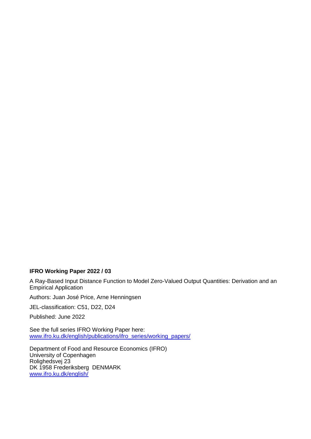#### **IFRO Working Paper 2022 / 03**

A Ray-Based Input Distance Function to Model Zero-Valued Output Quantities: Derivation and an Empirical Application

Authors: Juan José Price, Arne Henningsen

JEL-classification: C51, D22, D24

Published: June 2022

See the full series IFRO Working Paper here: [www.ifro.ku.dk/english/publications/ifro\\_series/working\\_papers/](http://www.ifro.ku.dk/english/publications/ifro_series/working_papers/)

Department of Food and Resource Economics (IFRO) University of Copenhagen Rolighedsvej 23 DK 1958 Frederiksberg DENMARK [www.ifro.ku.dk/english/](http://www.ifro.ku.dk/english/)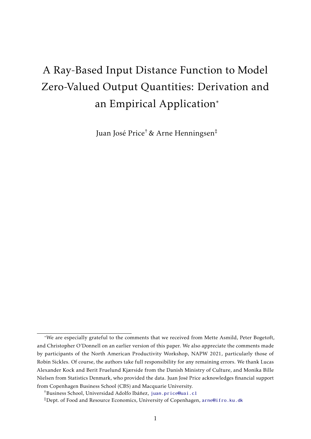# <span id="page-2-0"></span>A Ray-Based Input Distance Function to Model Zero-Valued Output Quantities: Derivation and an Empirical Application<sup>∗</sup>

Juan José Price†& Arne Henningsen‡

<sup>∗</sup>We are especially grateful to the comments that we received from Mette Asmild, Peter Bogetoft, and Christopher O'Donnell on an earlier version of this paper. We also appreciate the comments made by participants of the North American Productivity Workshop, NAPW 2021, particularly those of Robin Sickles. Of course, the authors take full responsibility for any remaining errors. We thank Lucas Alexander Kock and Berit Fruelund Kjærside from the Danish Ministry of Culture, and Monika Bille Nielsen from Statistics Denmark, who provided the data. Juan Jose Price acknowledges financial support ´ from Copenhagen Business School (CBS) and Macquarie University.

<sup>&</sup>lt;sup>†</sup>Business School, Universidad Adolfo Ibáñez, <juan.price@uai.cl>

<sup>‡</sup>Dept. of Food and Resource Economics, University of Copenhagen, <arne@ifro.ku.dk>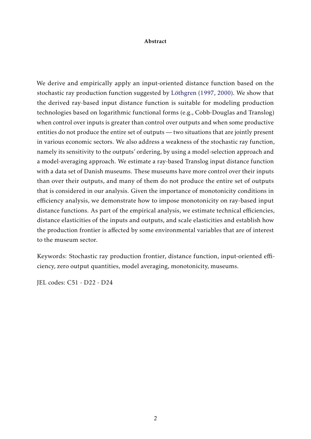#### Abstract

We derive and empirically apply an input-oriented distance function based on the stochastic ray production function suggested by Löthgren [\(1997,](#page-22-0) [2000\)](#page-22-1). We show that the derived ray-based input distance function is suitable for modeling production technologies based on logarithmic functional forms (e.g., Cobb-Douglas and Translog) when control over inputs is greater than control over outputs and when some productive entities do not produce the entire set of outputs — two situations that are jointly present in various economic sectors. We also address a weakness of the stochastic ray function, namely its sensitivity to the outputs' ordering, by using a model-selection approach and a model-averaging approach. We estimate a ray-based Translog input distance function with a data set of Danish museums. These museums have more control over their inputs than over their outputs, and many of them do not produce the entire set of outputs that is considered in our analysis. Given the importance of monotonicity conditions in efficiency analysis, we demonstrate how to impose monotonicity on ray-based input distance functions. As part of the empirical analysis, we estimate technical efficiencies, distance elasticities of the inputs and outputs, and scale elasticities and establish how the production frontier is affected by some environmental variables that are of interest to the museum sector.

Keywords: Stochastic ray production frontier, distance function, input-oriented efficiency, zero output quantities, model averaging, monotonicity, museums.

JEL codes: C51 - D22 - D24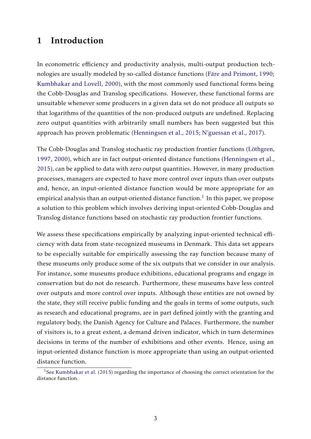## 1 Introduction

In econometric efficiency and productivity analysis, multi-output production tech-nologies are usually modeled by so-called distance functions (Färe and Primont, [1990;](#page-21-0) [Kumbhakar and Lovell,](#page-22-2) [2000\)](#page-22-2), with the most commonly used functional forms being the Cobb-Douglas and Translog specifications. However, these functional forms are unsuitable whenever some producers in a given data set do not produce all outputs so that logarithms of the quantities of the non-produced outputs are undefined. Replacing zero output quantities with arbitrarily small numbers has been suggested but this approach has proven problematic [\(Henningsen et al.,](#page-21-1) [2015;](#page-21-1) [N'guessan et al.,](#page-22-3) [2017\)](#page-22-3).

The Cobb-Douglas and Translog stochastic ray production frontier functions (Löthgren, [1997,](#page-22-0) [2000\)](#page-22-1), which are in fact output-oriented distance functions [\(Henningsen et al.,](#page-21-1) [2015\)](#page-21-1), can be applied to data with zero output quantities. However, in many production processes, managers are expected to have more control over inputs than over outputs and, hence, an input-oriented distance function would be more appropriate for an empirical analysis than an output-oriented distance function. $^1$  $^1$  In this paper, we propose a solution to this problem which involves deriving input-oriented Cobb-Douglas and Translog distance functions based on stochastic ray production frontier functions.

We assess these specifications empirically by analyzing input-oriented technical efficiency with data from state-recognized museums in Denmark. This data set appears to be especially suitable for empirically assessing the ray function because many of these museums only produce some of the six outputs that we consider in our analysis. For instance, some museums produce exhibitions, educational programs and engage in conservation but do not do research. Furthermore, these museums have less control over outputs and more control over inputs. Although these entities are not owned by the state, they still receive public funding and the goals in terms of some outputs, such as research and educational programs, are in part defined jointly with the granting and regulatory body, the Danish Agency for Culture and Palaces. Furthermore, the number of visitors is, to a great extent, a demand driven indicator, which in turn determines decisions in terms of the number of exhibitions and other events. Hence, using an input-oriented distance function is more appropriate than using an output-oriented distance function.

<sup>&</sup>lt;sup>1</sup>See [Kumbhakar et al.](#page-21-2) [\(2015\)](#page-21-2) regarding the importance of choosing the correct orientation for the distance function.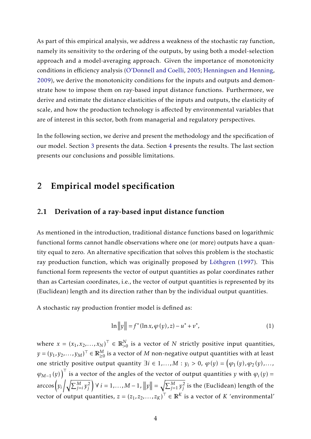As part of this empirical analysis, we address a weakness of the stochastic ray function, namely its sensitivity to the ordering of the outputs, by using both a model-selection approach and a model-averaging approach. Given the importance of monotonicity conditions in efficiency analysis [\(O'Donnell and Coelli,](#page-22-4) [2005;](#page-22-4) [Henningsen and Henning,](#page-21-3) [2009\)](#page-21-3), we derive the monotonicity conditions for the inputs and outputs and demonstrate how to impose them on ray-based input distance functions. Furthermore, we derive and estimate the distance elasticities of the inputs and outputs, the elasticity of scale, and how the production technology is affected by environmental variables that are of interest in this sector, both from managerial and regulatory perspectives.

In the following section, we derive and present the methodology and the specification of our model. Section [3](#page-10-0) presents the data. Section [4](#page-12-0) presents the results. The last section presents our conclusions and possible limitations.

## 2 Empirical model specification

### 2.1 Derivation of a ray-based input distance function

As mentioned in the introduction, traditional distance functions based on logarithmic functional forms cannot handle observations where one (or more) outputs have a quantity equal to zero. An alternative specification that solves this problem is the stochastic ray production function, which was originally proposed by Löthgren [\(1997\)](#page-22-0). This functional form represents the vector of output quantities as polar coordinates rather than as Cartesian coordinates, i.e., the vector of output quantities is represented by its (Euclidean) length and its direction rather than by the individual output quantities.

A stochastic ray production frontier model is defined as:

<span id="page-5-0"></span>
$$
\ln \|y\| = f^* (\ln x, \varphi(y), z) - u^* + v^*,
$$
 (1)

where  $x = (x_1, x_2, ..., x_N)^{\top} \in \mathbb{R}_{>0}^N$ *>*0 is a vector of *N* strictly positive input quantities,  $y = (y_1, y_2, \ldots, y_M)^\top \in \mathbb{R}_{\geq 0}^M$  is a vector of  $M$  non-negative output quantities with at least one strictly positive output quantity  $\exists i \in 1, ..., M: y_i > 0, \ \varphi(y) = \big(\varphi_1(y), \varphi_2(y), ..., \varphi_{n-1}(y)\big)$  $(\varphi_{M-1}(y))^T$  is a vector of the angles of the vector of output quantities *y* with  $\varphi_i(y)$  = arccos $\left(y_i\left/\sqrt{\sum_{j=i}^{M}y_j^2}\right)\right.$ *j*  $\left| y \right| = \sqrt{\sum_{j=1}^{M} y_j^2}$  $j_j^2$  is the (Euclidean) length of the vector of output quantities,  $z = (z_1, z_2, ..., z_K)^T \in \mathbb{R}^K$  is a vector of *K* 'environmental'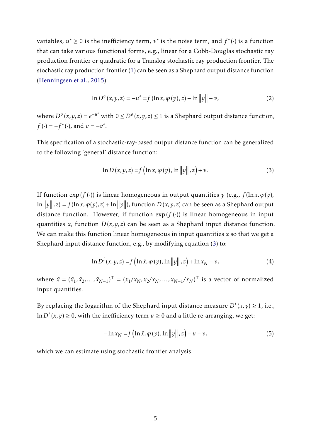variables,  $u^* \ge 0$  is the inefficiency term,  $v^*$  is the noise term, and  $f^*(\cdot)$  is a function that can take various functional forms, e.g., linear for a Cobb-Douglas stochastic ray production frontier or quadratic for a Translog stochastic ray production frontier. The stochastic ray production frontier [\(1\)](#page-5-0) can be seen as a Shephard output distance function [\(Henningsen et al.,](#page-21-1) [2015\)](#page-21-1):

$$
\ln D^{o}(x, y, z) = -u^{*} = f(\ln x, \varphi(y), z) + \ln ||y|| + v,
$$
\n(2)

where  $D<sup>o</sup>(x, y, z) = e<sup>−u<sup>∗</sup></sup>$  with  $0 ≤ D<sup>o</sup>(x, y, z) ≤ 1$  is a Shephard output distance function,  $f(\cdot) = -f^*(\cdot)$ , and  $v = -v^*$ .

This specification of a stochastic-ray-based output distance function can be generalized to the following 'general' distance function:

<span id="page-6-0"></span>
$$
\ln D(x, y, z) = f\left(\ln x, \varphi\left(y\right), \ln\left\|y\right\|, z\right) + v. \tag{3}
$$

If function  $exp(f(.))$  is linear homogeneous in output quantities *y* (e.g.,  $f(ln x, \varphi(y))$ ,  $\ln \|y\|, z) = f(\ln x, \varphi(y), z) + \ln \|y\|$ ), function  $D(x, y, z)$  can be seen as a Shephard output distance function. However, if function  $exp(f(\cdot))$  is linear homogeneous in input quantities *x*, function  $D(x, y, z)$  can be seen as a Shephard input distance function. We can make this function linear homogeneous in input quantities *x* so that we get a Shephard input distance function, e.g., by modifying equation [\(3\)](#page-6-0) to:

$$
\ln D^{i}(x, y, z) = f\left(\ln \tilde{x}, \varphi\left(y\right), \ln\left\|y\right\|, z\right) + \ln x_{N} + v,\tag{4}
$$

where  $\tilde{x} = (\tilde{x}_1, \tilde{x}_2, \dots, \tilde{x}_{N-1})^\top = (x_1/x_N, x_2/x_N, \dots, x_{N-1}/x_N)^\top$  is a vector of normalized input quantities.

By replacing the logarithm of the Shephard input distance measure  $D^{i}(x, y) \geq 1$ , i.e., ln *D<sup>i</sup>* (*x, y*) ≥ 0, with the inefficiency term *u* ≥ 0 and a little re-arranging, we get:

$$
-\ln x_N = f\left(\ln \tilde{x}, \varphi\left(y\right), \ln\left\|y\right\|, z\right) - u + v,\tag{5}
$$

which we can estimate using stochastic frontier analysis.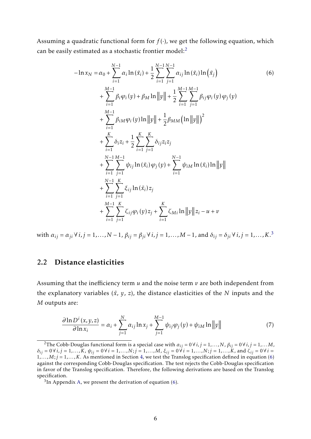Assuming a quadratic functional form for  $f(\cdot)$ , we get the following equation, which can be easily estimated as a stochastic frontier model:<sup>[2](#page-2-0)</sup>

<span id="page-7-0"></span>
$$
-\ln x_N = \alpha_0 + \sum_{i=1}^{N-1} \alpha_i \ln(\tilde{x}_i) + \frac{1}{2} \sum_{i=1}^{N-1} \sum_{j=1}^{N-1} \alpha_{ij} \ln(\tilde{x}_i) \ln(\tilde{x}_j)
$$
(6)  
+ 
$$
\sum_{i=1}^{M-1} \beta_i \varphi_i(y) + \beta_M \ln ||y|| + \frac{1}{2} \sum_{i=1}^{M-1} \sum_{j=1}^{M-1} \beta_{ij} \varphi_i(y) \varphi_j(y)
$$
  
+ 
$$
\sum_{i=1}^{M-1} \beta_{iM} \varphi_i(y) \ln ||y|| + \frac{1}{2} \beta_{MM} (\ln ||y||)^2
$$
  
+ 
$$
\sum_{i=1}^{K} \delta_i z_i + \frac{1}{2} \sum_{i=1}^{K} \sum_{j=1}^{K} \delta_{ij} z_i z_j
$$
  
+ 
$$
\sum_{i=1}^{N-1} \sum_{j=1}^{M-1} \psi_{ij} \ln(\tilde{x}_i) \varphi_j(y) + \sum_{i=1}^{N-1} \psi_{iM} \ln(\tilde{x}_i) \ln ||y||
$$
  
+ 
$$
\sum_{i=1}^{N-1} \sum_{j=1}^{K} \xi_{ij} \ln(\tilde{x}_i) z_j
$$
  
+ 
$$
\sum_{i=1}^{M-1} \sum_{j=1}^{K} \zeta_{ij} \varphi_i(y) z_j + \sum_{i=1}^{K} \zeta_{Mi} \ln ||y|| z_i - u + v
$$

with  $\alpha_{ij} = \alpha_{ji} \forall i, j = 1,..., N-1$ ,  $\beta_{ij} = \beta_{ji} \forall i, j = 1,..., M-1$ , and  $\delta_{ij} = \delta_{ji} \forall i, j = 1,..., K$ .<sup>[3](#page-2-0)</sup>

### 2.2 Distance elasticities

Assuming that the inefficiency term *u* and the noise term *v* are both independent from the explanatory variables  $(\tilde{x}, y, z)$ , the distance elasticities of the *N* inputs and the *M* outputs are:

<span id="page-7-1"></span>
$$
\frac{\partial \ln D^i(x, y, z)}{\partial \ln x_i} = \alpha_i + \sum_{j=1}^N \alpha_{ij} \ln x_j + \sum_{j=1}^{M-1} \psi_{ij} \varphi_j(y) + \psi_{iM} \ln ||y|| \tag{7}
$$

<sup>&</sup>lt;sup>2</sup>The Cobb-Douglas functional form is a special case with  $\alpha_{ij} = 0 \forall i, j = 1,...,N$ ,  $\beta_{ij} = 0 \forall i, j = 1,...,M$ ,  $\delta_{ij} = 0 \forall i, j = 1,..., K$ ,  $\psi_{ij} = 0 \forall i = 1,..., N; j = 1,..., M$ ,  $\xi_{ij} = 0 \forall i = 1,..., N; j = 1,..., K$ , and  $\zeta_{ij} = 0 \forall i = 1,..., K$  $1, \ldots, M; j = 1, \ldots, K$ . As mentioned in Section [4,](#page-12-0) we test the Translog specification defined in equation [\(6\)](#page-7-0) against the corresponding Cobb-Douglas specification. The test rejects the Cobb-Douglas specification in favor of the Translog specification. Therefore, the following derivations are based on the Translog specification.

 $3$ In Appendix [A,](#page-23-0) we present the derivation of equation [\(6\)](#page-7-0).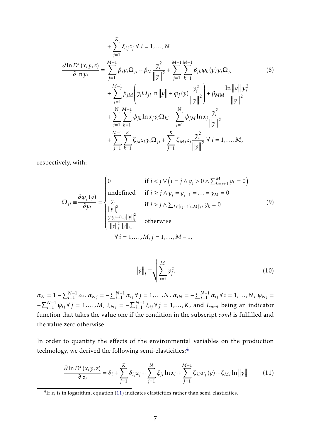<span id="page-8-1"></span>
$$
+\sum_{j=1}^{K} \xi_{ij} z_{j} \forall i = 1,...,N
$$
  
\n
$$
\frac{\partial \ln D^{i}(x, y, z)}{\partial \ln y_{i}} = \sum_{j=1}^{M-1} \beta_{j} y_{i} \Omega_{ji} + \beta_{M} \frac{y_{i}^{2}}{\|y\|^{2}} + \sum_{j=1}^{M-1} \sum_{k=1}^{M-1} \beta_{jk} \varphi_{k}(y) y_{i} \Omega_{ji}
$$
\n
$$
+\sum_{j=1}^{M-1} \beta_{jM} \left( y_{i} \Omega_{ji} \ln \|y\| + \varphi_{j}(y) \frac{y_{i}^{2}}{\|y\|^{2}} \right) + \beta_{MM} \frac{\ln \|y\| y_{i}^{2}}{\|y\|^{2}}
$$
\n
$$
+\sum_{j=1}^{N} \sum_{k=1}^{M-1} \psi_{jk} \ln x_{j} y_{i} \Omega_{ki} + \sum_{j=1}^{N} \psi_{jM} \ln x_{j} \frac{y_{i}^{2}}{\|y\|^{2}}
$$
\n
$$
+\sum_{j=1}^{M-1} \sum_{k=1}^{K} \zeta_{jk} z_{k} y_{i} \Omega_{ji} + \sum_{j=1}^{K} \zeta_{Mj} z_{j} \frac{y_{i}^{2}}{\|y\|^{2}} \forall i = 1,...,M,
$$
\n(8)

respectively, with:

$$
\Omega_{ji} \equiv \frac{\partial \varphi_j(y)}{\partial y_i} = \begin{cases}\n0 & \text{if } i < j \lor (i = j \land y_j > 0 \land \sum_{k=j+1}^M y_k = 0) \\
\text{undefined} & \text{if } i \ge j \land y_j = y_{j+1} = ... = y_M = 0 \\
\frac{y_j}{\|y\|_j^2} & \text{if } i > j \land \sum_{k \in [(j+1)..M] \setminus i} y_k = 0 \\
\frac{y_i y_j - I_{i=j} \|y\|_j^2}{\|y\|_j^2 \|y\|_{j+1}} & \text{otherwise} \\
\forall i = 1, ..., M, j = 1, ..., M - 1,\n\end{cases} \tag{9}
$$

<span id="page-8-0"></span>
$$
||y||_{i} = \sqrt{\sum_{j=i}^{M} y_{j}^{2}},
$$
\n(10)

 $\alpha_N = 1 - \sum_{i=1}^{N-1} \alpha_i$ ,  $\alpha_{Nj} = -\sum_{i=1}^{N-1} \alpha_{ij} \forall j = 1,...,N$ ,  $\alpha_{iN} = -\sum_{j=1}^{N-1} \alpha_{ij} \forall i = 1,...,N$ ,  $\psi_{Nj} =$  $\sum_{i=1}^{N-1}$   $\psi_{ij}$  ∀ *j* = 1,...,*M*,  $\xi_{Nj}$  = − $\sum_{i=1}^{N-1}$   $\xi_{ij}$  ∀ *j* = 1,..., *K*, and *I*<sub>cond</sub> being an indicator function that takes the value one if the condition in the subscript *cond* is fulfilled and the value zero otherwise.

In order to quantity the effects of the environmental variables on the production technology, we derived the following semi-elasticities:[4](#page-2-0)

$$
\frac{\partial \ln D^i(x, y, z)}{\partial z_i} = \delta_i + \sum_{j=1}^K \delta_{ij} z_j + \sum_{j=1}^N \xi_{ji} \ln x_i + \sum_{j=1}^{M-1} \zeta_{ji} \varphi_j(y) + \zeta_{Mi} \ln ||y|| \tag{11}
$$

 ${}^{4}$  If  $z_i$  is in logarithm, equation [\(11\)](#page-8-0) indicates elasticities rather than semi-elasticities.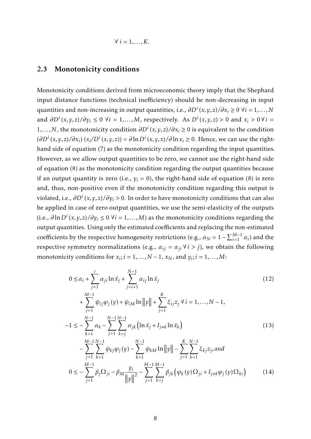$$
\forall i=1,\ldots,K.
$$

#### 2.3 Monotonicity conditions

Monotonicity conditions derived from microeconomic theory imply that the Shephard input distance functions (technical inefficiency) should be non-decreasing in input quantities and non-increasing in output quantities, i.e., *∂D<sup>i</sup>* (*x,y, z*)*/∂x<sup>i</sup>* ≥ 0 ∀*i* = 1*,...,N* and  $\partial D^i(x, y, z)/\partial y_i$  ≤ 0 ∀*i* = 1,...,*M*, respectively. As  $D^i(x, y, z) > 0$  and  $x_i > 0 \forall i$  = 1*,...,N*, the monotonicity condition *∂D<sup>i</sup>* (*x,y, z*)*/∂x<sup>i</sup>* ≥ 0 is equivalent to the condition  $(\partial D^i(x, y, z)/\partial x_i)(x_i/D^i(x, y, z)) = \partial \ln D^i(x, y, z)/\partial \ln x_i \ge 0$ . Hence, we can use the right-hand side of equation [\(7\)](#page-7-1) as the monotonicity condition regarding the input quantities. However, as we allow output quantities to be zero, we cannot use the right-hand side of equation [\(8\)](#page-8-1) as the monotonicity condition regarding the output quantities because if an output quantity is zero (i.e.,  $y_i = 0$ ), the right-hand side of equation [\(8\)](#page-8-1) is zero and, thus, non-positive even if the monotonicity condition regarding this output is violated, i.e., *∂D<sup>i</sup>* (*x,y, z*)*/∂y<sup>i</sup> >* 0. In order to have monotonicity conditions that can also be applied in case of zero output quantities, we use the semi-elasticity of the outputs (i.e.,  $\partial \ln D^i(x, y, z) / \partial y_i$  ≤ 0  $\forall i = 1,..., M$ ) as the monotonicity conditions regarding the output quantities. Using only the estimated coefficients and replacing the non-estimated coefficients by the respective homogeneity restrictions (e.g.,  $\alpha_N = 1 - \sum_{i=1}^{M-1} \alpha_i$ ) and the respective symmetry normalizations (e.g.,  $\alpha_{ij} = \alpha_{ji} \forall i > j$ ), we obtain the following monotonicity conditions for  $x_i$ ;  $i = 1,..., N - 1$ ,  $x_N$ , and  $y_i$ ;  $i = 1,..., M$ :

<span id="page-9-2"></span><span id="page-9-1"></span><span id="page-9-0"></span>
$$
0 \leq \alpha_{i} + \sum_{j=1}^{i} \alpha_{ji} \ln \tilde{x}_{j} + \sum_{j=i+1}^{N-1} \alpha_{ij} \ln \tilde{x}_{j}
$$
\n
$$
+ \sum_{j=1}^{M-1} \psi_{ij} \varphi_{j}(y) + \psi_{iM} \ln ||y|| + \sum_{j=1}^{K} \xi_{ij} z_{j} \forall i = 1,..., N-1,
$$
\n
$$
-1 \leq -\sum_{k=1}^{N-1} \alpha_{k} - \sum_{j=1}^{N-1} \sum_{k=j}^{N-1} \alpha_{jk} (\ln \tilde{x}_{j} + I_{j \neq k} \ln \tilde{x}_{k})
$$
\n
$$
- \sum_{j=1}^{M-1} \sum_{k=1}^{N-1} \psi_{kj} \varphi_{j}(y) - \sum_{k=1}^{N-1} \psi_{kM} \ln ||y|| - \sum_{j=1}^{K} \sum_{k=1}^{N-1} \xi_{kj} z_{j}, and
$$
\n
$$
0 \leq -\sum_{j=1}^{M-1} \beta_{j} \Omega_{ji} - \beta_{M} \frac{y_{i}}{||y||^{2}} - \sum_{j=1}^{M-1} \sum_{k=j}^{M-1} \beta_{jk} (\varphi_{k}(y) \Omega_{ji} + I_{j \neq k} \varphi_{j}(y) \Omega_{ki})
$$
\n(14)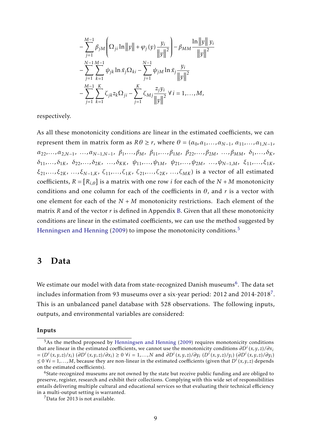$$
-\sum_{j=1}^{M-1} \beta_{jM} \left( \Omega_{ji} \ln \|y\| + \varphi_j(y) \frac{y_i}{\|y\|^2} \right) - \beta_{MM} \frac{\ln \|y\| y_i}{\|y\|^2}
$$
  

$$
-\sum_{j=1}^{N-1} \sum_{k=1}^{M-1} \psi_{jk} \ln \tilde{x}_j \Omega_{ki} - \sum_{j=1}^{N-1} \psi_{jM} \ln \tilde{x}_j \frac{y_i}{\|y\|^2}
$$
  

$$
-\sum_{j=1}^{M-1} \sum_{k=1}^{K} \zeta_{jk} z_k \Omega_{ji} - \sum_{j=1}^{K} \zeta_{Mj} \frac{z_j y_i}{\|y\|^2} \forall i = 1,...,M,
$$

respectively.

As all these monotonicity conditions are linear in the estimated coefficients, we can represent them in matrix form as  $R\theta \ge r$ , where  $\theta = (\alpha_0, \alpha_1, ..., \alpha_{N-1}, \alpha_{11}, ..., \alpha_{1,N-1})$  $\alpha_{22},...,\alpha_{2,N-1},\ \ldots,\alpha_{N-1,N-1},\ \beta_1,...,\beta_M,\ \beta_{11},...,\beta_{1M},\ \beta_{22},...,\beta_{2M},\ \ldots,\beta_{MM},\ \delta_1,...,\delta_K,$  $\delta_{11}, \ldots, \delta_{1K}, \delta_{22}, \ldots, \delta_{2K}, \ldots, \delta_{KK}, \psi_{11}, \ldots, \psi_{1M}, \psi_{21}, \ldots, \psi_{2M}, \ldots, \psi_{N-1,M}, \xi_{11}, \ldots, \xi_{1K},$ *ξ*21*,..., ξ*2*K*, *..., ξN*−1*,K*, *ζ*11*,..., ζ*1*K*, *ζ*21*,..., ζ*2*K*, *..., ζMK*) is a vector of all estimated coefficients,  $R = [R_{i,\theta}]$  is a matrix with one row *i* for each of the  $N + M$  monotonicity conditions and one column for each of the coefficients in  $\theta$ , and  $r$  is a vector with one element for each of the  $N + M$  monotonicity restrictions. Each element of the matrix *R* and of the vector *r* is defined in Appendix [B.](#page-26-0) Given that all these monotonicity conditions are linear in the estimated coefficients, we can use the method suggested by [Henningsen and Henning](#page-21-3) [\(2009\)](#page-21-3) to impose the monotonicity conditions.<sup>[5](#page-2-0)</sup>

### <span id="page-10-0"></span>3 Data

We estimate our model with data from state-recognized Danish museums $^6$  $^6$ . The data set includes information from 93 museums over a six-year period: 2012 and 2014-2018<sup>[7](#page-2-0)</sup>. This is an unbalanced panel database with 528 observations. The following inputs, outputs, and environmental variables are considered:

#### Inputs

<sup>&</sup>lt;sup>5</sup>As the method proposed by [Henningsen and Henning](#page-21-3) [\(2009\)](#page-21-3) requires monotonicity conditions that are linear in the estimated coefficients, we cannot use the monotonicity conditions  $\partial D^i(x,y,z)/\partial x_i$  $= (D^i(x, y, z)/x_i) (\partial D^i(x, y, z)/\partial x_i) \ge 0 \ \forall i = 1,..., N$  and  $\partial D^i(x, y, z)/\partial y_i (D^i(x, y, z)/y_i) (\partial D^i(x, y, z)/\partial y_i)$ ≤ 0  $\forall i$  = 1,...,*M*, because they are non-linear in the estimated coefficients (given that  $D^i(x, y, z)$  depends on the estimated coefficients).

<sup>&</sup>lt;sup>6</sup>State-recognized museums are not owned by the state but receive public funding and are obliged to preserve, register, research and exhibit their collections. Complying with this wide set of responsibilities entails delivering multiple cultural and educational services so that evaluating their technical efficiency in a multi-output setting is warranted.

 $7$ Data for 2013 is not available.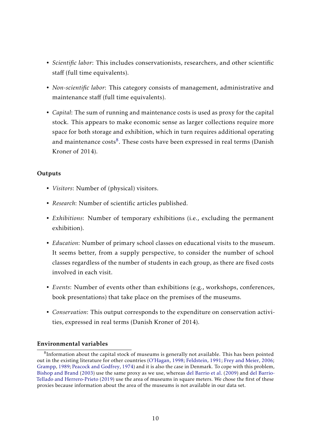- *Scientific labor*: This includes conservationists, researchers, and other scientific staff (full time equivalents).
- *Non-scientific labor*: This category consists of management, administrative and maintenance staff (full time equivalents).
- *Capital*: The sum of running and maintenance costs is used as proxy for the capital stock. This appears to make economic sense as larger collections require more space for both storage and exhibition, which in turn requires additional operating and maintenance costs ${}^{8}$  ${}^{8}$  ${}^{8}$ . These costs have been expressed in real terms (Danish Kroner of 2014).

#### **Outputs**

- *Visitors*: Number of (physical) visitors.
- *Research*: Number of scientific articles published.
- *Exhibitions*: Number of temporary exhibitions (i.e., excluding the permanent exhibition).
- *Education*: Number of primary school classes on educational visits to the museum. It seems better, from a supply perspective, to consider the number of school classes regardless of the number of students in each group, as there are fixed costs involved in each visit.
- *Events*: Number of events other than exhibitions (e.g., workshops, conferences, book presentations) that take place on the premises of the museums.
- *Conservation*: This output corresponds to the expenditure on conservation activities, expressed in real terms (Danish Kroner of 2014).

#### Environmental variables

 ${}^{8}$ Information about the capital stock of museums is generally not available. This has been pointed out in the existing literature for other countries [\(O'Hagan,](#page-22-5) [1998;](#page-22-5) [Feldstein,](#page-21-4) [1991;](#page-21-4) [Frey and Meier,](#page-21-5) [2006;](#page-21-5) [Grampp,](#page-21-6) [1989;](#page-21-6) [Peacock and Godfrey,](#page-22-6) [1974\)](#page-22-6) and it is also the case in Denmark. To cope with this problem, [Bishop and Brand](#page-21-7) [\(2003\)](#page-21-7) use the same proxy as we use, whereas [del Barrio et al.](#page-21-8) [\(2009\)](#page-21-8) and [del Barrio-](#page-21-9)[Tellado and Herrero-Prieto](#page-21-9) [\(2019\)](#page-21-9) use the area of museums in square meters. We chose the first of these proxies because information about the area of the museums is not available in our data set.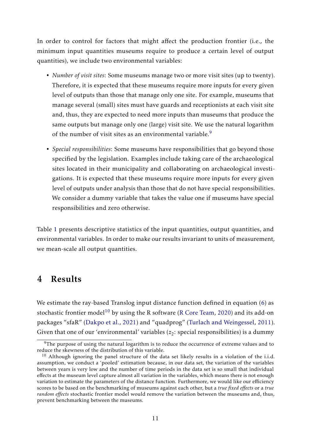In order to control for factors that might affect the production frontier (i.e., the minimum input quantities museums require to produce a certain level of output quantities), we include two environmental variables:

- *Number of visit sites*: Some museums manage two or more visit sites (up to twenty). Therefore, it is expected that these museums require more inputs for every given level of outputs than those that manage only one site. For example, museums that manage several (small) sites must have guards and receptionists at each visit site and, thus, they are expected to need more inputs than museums that produce the same outputs but manage only one (large) visit site. We use the natural logarithm of the number of visit sites as an environmental variable.<sup>[9](#page-2-0)</sup>
- *Special responsibilities*: Some museums have responsibilities that go beyond those specified by the legislation. Examples include taking care of the archaeological sites located in their municipality and collaborating on archaeological investigations. It is expected that these museums require more inputs for every given level of outputs under analysis than those that do not have special responsibilities. We consider a dummy variable that takes the value one if museums have special responsibilities and zero otherwise.

Table [1](#page-13-0) presents descriptive statistics of the input quantities, output quantities, and environmental variables. In order to make our results invariant to units of measurement, we mean-scale all output quantities.

## <span id="page-12-0"></span>4 Results

We estimate the ray-based Translog input distance function defined in equation [\(6\)](#page-7-0) as stochastic frontier model<sup>[10](#page-2-0)</sup> by using the R software [\(R Core Team,](#page-22-7) [2020\)](#page-22-7) and its add-on packages "sfaR" [\(Dakpo et al.,](#page-21-10) [2021\)](#page-21-10) and "quadprog" [\(Turlach and Weingessel,](#page-22-8) [2011\)](#page-22-8). Given that one of our 'environmental' variables ( $z_2$ : special responsibilities) is a dummy

 $9$ The purpose of using the natural logarithm is to reduce the occurrence of extreme values and to reduce the skewness of the distribution of this variable.

 $10$  Although ignoring the panel structure of the data set likely results in a violation of the i.i.d. assumption, we conduct a 'pooled' estimation because, in our data set, the variation of the variables between years is very low and the number of time periods in the data set is so small that individual effects at the museum level capture almost all variation in the variables, which means there is not enough variation to estimate the parameters of the distance function. Furthermore, we would like our efficiency scores to be based on the benchmarking of museums against each other, but a *true fixed effects* or a *true random effects* stochastic frontier model would remove the variation between the museums and, thus, prevent benchmarking between the museums.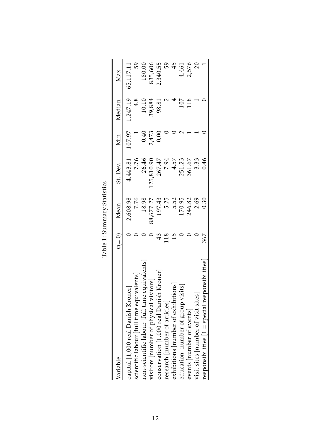<span id="page-13-0"></span>

| Variable                                                                  | $n(=0)$ | Mean      | St. Dev.   | Min               | Median          | Max            |
|---------------------------------------------------------------------------|---------|-----------|------------|-------------------|-----------------|----------------|
| capital [1,000 real Danish Kroner]                                        |         | 2,608.98  | 4,443.81   | 107.97            | 1,247.19        | 65,117.11      |
| scientific labour [full time equivalents]                                 |         | 7.76      | 7.76       |                   | $\frac{4.8}{5}$ | 59             |
| non-scientific labour [full time equivalents                              |         | 18.98     | 26.46      |                   | $10.10$         | 180.00         |
| visitors [number of physical visitors]                                    |         | 88,677.27 | 125,810.90 | $0.40$<br>$2.473$ | 39,884          | 835,606        |
| Kroner<br>$\,$ conservation $\,$ [1,000 real Danish                       |         | 197.43    | 267.47     | 0.00              | 98.81           | 2,340.55       |
| research number of articles                                               | 118     | 5.25      | 7.94       |                   |                 |                |
|                                                                           | 15      | 5.52      | 4.57       |                   |                 | 59<br>45       |
| exhibitions [number of exhibitions]<br>education [number of group visits] |         | 170.95    | 251.23     |                   | 107             | 4,461          |
| events   number of events]                                                |         | 246.82    | 361.67     |                   | 118             | 2,576          |
| visit sites number of visit sites                                         |         | 2.69      | 3.33       |                   |                 | $\overline{c}$ |
| $resposing to 1 = special response$ responsibilities                      | 367     | 0.30      | 0.46       |                   |                 |                |
|                                                                           |         |           |            |                   |                 |                |

| tistics<br>Stati |
|------------------|
| ummary<br>Ò      |
| :                |
| Table            |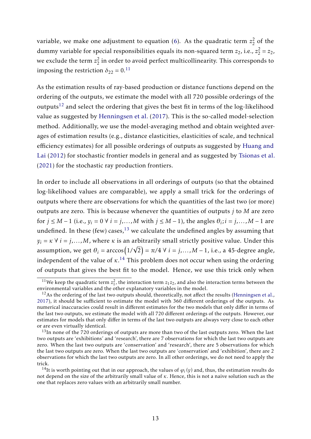variable, we make one adjustment to equation [\(6\)](#page-7-0). As the quadratic term *z* 2  $\frac{2}{2}$  of the dummy variable for special responsibilities equals its non-squared term  $z_2$ , i.e.,  $z_2^2 = z_2$ , we exclude the term *z* 2  $\frac{2}{2}$  in order to avoid perfect multicollinearity. This corresponds to imposing the restriction  $\delta_{22} = 0.11$  $\delta_{22} = 0.11$ 

As the estimation results of ray-based production or distance functions depend on the ordering of the outputs, we estimate the model with all 720 possible orderings of the outputs<sup>[12](#page-2-0)</sup> and select the ordering that gives the best fit in terms of the log-likelihood value as suggested by [Henningsen et al.](#page-21-11) [\(2017\)](#page-21-11). This is the so-called model-selection method. Additionally, we use the model-averaging method and obtain weighted averages of estimation results (e.g., distance elasticities, elasticities of scale, and technical efficiency estimates) for all possible orderings of outputs as suggested by [Huang and](#page-21-12) [Lai](#page-21-12) [\(2012\)](#page-21-12) for stochastic frontier models in general and as suggested by [Tsionas et al.](#page-22-9) [\(2021\)](#page-22-9) for the stochastic ray production frontiers.

In order to include all observations in all orderings of outputs (so that the obtained log-likelihood values are comparable), we apply a small trick for the orderings of outputs where there are observations for which the quantities of the last two (or more) outputs are zero. This is because whenever the quantities of outputs *j* to *M* are zero for  $j \le M - 1$  (i.e.,  $y_i = 0 \forall i = j,...,M$  with  $j \le M - 1$ ), the angles  $\theta_i$ ;  $i = j,...,M - 1$  are undefined. In these (few) cases, $^{13}$  $^{13}$  $^{13}$  we calculate the undefined angles by assuming that  $y_i = \kappa \ \forall \ i = j,...,M$ , where  $\kappa$  is an arbitrarily small strictly positive value. Under this assumption, we get  $\theta_i = \arccos\bigl(1/\sqrt{2}\bigr) = \pi/4 \; \forall \; i = j, \ldots, M-1,$  i.e., a 45-degree angle, independent of the value of *κ*. [14](#page-2-0) This problem does not occur when using the ordering of outputs that gives the best fit to the model. Hence, we use this trick only when

<sup>&</sup>lt;sup>11</sup>We keep the quadratic term  $z_1^2$ , the interaction term  $z_1z_2$ , and also the interaction terms between the environmental variables and the other explanatory variables in the model.

<sup>&</sup>lt;sup>12</sup>As the ordering of the last two outputs should, theoretically, not affect the results [\(Henningsen et al.,](#page-21-11) [2017\)](#page-21-11), it should be sufficient to estimate the model with 360 different orderings of the outputs. As numerical inaccuracies could result in different estimates for the two models that only differ in terms of the last two outputs, we estimate the model with all 720 different orderings of the outputs. However, our estimates for models that only differ in terms of the last two outputs are always very close to each other or are even virtually identical.

<sup>&</sup>lt;sup>13</sup>In none of the 720 orderings of outputs are more than two of the last outputs zero. When the last two outputs are 'exhibitions' and 'research', there are 7 observations for which the last two outputs are zero. When the last two outputs are 'conservation' and 'research', there are 5 observations for which the last two outputs are zero. When the last two outputs are 'conservation' and 'exhibition', there are 2 observations for which the last two outputs are zero. In all other orderings, we do not need to apply the trick.

 $^{14}$ It is worth pointing out that in our approach, the values of  $\varphi_i(y)$  and, thus, the estimation results do not depend on the size of the arbitrarily small value of *κ*. Hence, this is not a naive solution such as the one that replaces zero values with an arbitrarily small number.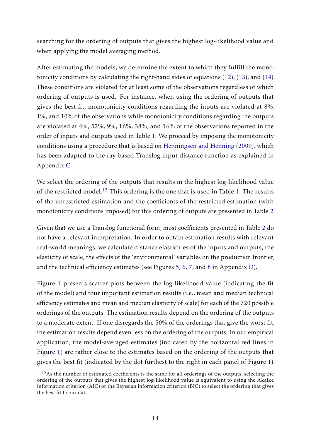searching for the ordering of outputs that gives the highest log-likelihood value and when applying the model averaging method.

After estimating the models, we determine the extent to which they fulfill the monotonicity conditions by calculating the right-hand sides of equations [\(12\)](#page-9-0), [\(13\)](#page-9-1), and [\(14\)](#page-9-2). These conditions are violated for at least some of the observations regardless of which ordering of outputs is used. For instance, when using the ordering of outputs that gives the best fit, monotonicity conditions regarding the inputs are violated at 8%, 1%, and 10% of the observations while monotonicity conditions regarding the outputs are violated at 4%, 52%, 9%, 16%, 38%, and 16% of the observations reported in the order of inputs and outputs used in Table [1.](#page-13-0) We proceed by imposing the monotonicity conditions using a procedure that is based on [Henningsen and Henning](#page-21-3) [\(2009\)](#page-21-3), which has been adapted to the ray-based Translog input distance function as explained in Appendix [C.](#page-28-0)

We select the ordering of the outputs that results in the highest log-likelihood value of the restricted model.<sup>[15](#page-2-0)</sup> This ordering is the one that is used in Table [1.](#page-13-0) The results of the unrestricted estimation and the coefficients of the restricted estimation (with monotonicity conditions imposed) for this ordering of outputs are presented in Table [2.](#page-16-0)

Given that we use a Translog functional form, most coefficients presented in Table [2](#page-16-0) do not have a relevant interpretation. In order to obtain estimation results with relevant real-world meanings, we calculate distance elasticities of the inputs and outputs, the elasticity of scale, the effects of the 'environmental' variables on the production frontier, and the technical efficiency estimates (see Figures [5,](#page-30-0) [6,](#page-31-0) [7,](#page-32-0) and [8](#page-32-1) in Appendix [D\)](#page-30-1).

Figure [1](#page-17-0) presents scatter plots between the log-likelihood value (indicating the fit of the model) and four important estimation results (i.e., mean and median technical efficiency estimates and mean and median elasticity of scale) for each of the 720 possible orderings of the outputs. The estimation results depend on the ordering of the outputs to a moderate extent. If one disregards the 50% of the orderings that give the worst fit, the estimation results depend even less on the ordering of the outputs. In our empirical application, the model-averaged estimates (indicated by the horizontal red lines in Figure [1\)](#page-17-0) are rather close to the estimates based on the ordering of the outputs that gives the best fit (indicated by the dot furthest to the right in each panel of Figure [1\)](#page-17-0).

<sup>&</sup>lt;sup>15</sup>As the number of estimated coefficients is the same for all orderings of the outputs, selecting the ordering of the outputs that gives the highest log-likelihood value is equivalent to using the Akaike information criterion (AIC) or the Bayesian information criterion (BIC) to select the ordering that gives the best fit to our data.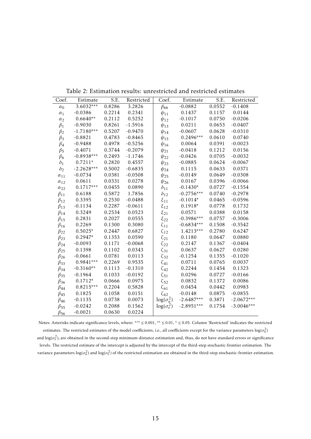| Coef.         | Estimate     | S.E.   | Restricted | Coef.              | Estimate     | S.E.   | Restricted   |
|---------------|--------------|--------|------------|--------------------|--------------|--------|--------------|
| $\alpha_0$    | $3.6032***$  | 0.8286 | 3.2826     | $\beta_{66}$       | $-0.0882$    | 0.0552 | $-0.1408$    |
| $\alpha_1$    | $-0.0386$    | 0.2214 | 0.2341     | $\psi_{11}$        | 0.1437       | 0.1157 | 0.0144       |
| $\alpha_2$    | $0.6640**$   | 0.2112 | 0.5252     | $\psi_{12}$        | $-0.1017$    | 0.0750 | $-0.0206$    |
| $\beta_1$     | $-0.9030$    | 0.8261 | $-1.5916$  | $\psi_{13}$        | 0.0211       | 0.0653 | $-0.0407$    |
| $\beta_2$     | $-1.7180***$ | 0.5207 | $-0.9470$  | $\psi_{14}$        | $-0.0607$    | 0.0628 | $-0.0310$    |
| $\beta_3$     | $-0.8821$    | 0.4783 | $-0.8465$  | $\psi_{15}$        | $0.2496***$  | 0.0610 | 0.0740       |
| $\beta_4$     | $-0.9488$    | 0.4978 | $-0.5256$  | $\psi_{16}$        | 0.0064       | 0.0391 | $-0.0023$    |
| $\beta_5$     | $-0.4071$    | 0.3744 | $-0.2079$  | $\psi_{21}$        | $-0.0418$    | 0.1212 | 0.0156       |
| $\beta_6$     | $-0.8938***$ | 0.2493 | $-1.1746$  | $\psi_{22}$        | $-0.0426$    | 0.0705 | $-0.0032$    |
| $\delta_1$    | $0.7211*$    | 0.2820 | 0.4557     | $\psi_{23}$        | $-0.0885$    | 0.0624 | $-0.0067$    |
| $\delta_2$    | $-2.2628***$ | 0.5002 | $-0.6835$  | $\psi_{24}$        | 0.1115       | 0.0633 | 0.0371       |
| $\alpha_{11}$ | $-0.0734$    | 0.0381 | $-0.0508$  | $\psi_{25}$        | $-0.0149$    | 0.0649 | $-0.0308$    |
| $\alpha_{12}$ | 0.0611       | 0.0331 | 0.0278     | $\psi_{26}$        | 0.0167       | 0.0396 | $-0.0066$    |
| $\alpha_{22}$ | $0.1717***$  | 0.0455 | 0.0890     | $\delta_{11}$      | $-0.1430*$   | 0.0727 | $-0.1554$    |
| $\beta_{11}$  | 0.6188       | 0.5872 | 1.7856     | $\delta_{12}$      | $-0.2756***$ | 0.0740 | $-0.2978$    |
| $\beta_{12}$  | 0.3395       | 0.2530 | $-0.0488$  | $\xi_{11}$         | $-0.1014*$   | 0.0465 | $-0.0596$    |
| $\beta_{13}$  | $-0.1134$    | 0.2287 | $-0.0611$  | $\xi_{12}$         | $0.1918*$    | 0.0778 | 0.1732       |
| $\beta_{14}$  | 0.3249       | 0.2534 | 0.0523     | $\xi_{21}$         | 0.0571       | 0.0388 | 0.0158       |
| $\beta_{15}$  | 0.2831       | 0.2027 | 0.0555     | $\xi_{22}$         | $-0.3986***$ | 0.0757 | $-0.3006$    |
| $\beta_{16}$  | 0.2269       | 0.1300 | 0.3080     | $\zeta_{11}$       | $-0.6834***$ | 0.1508 | $-0.3542$    |
| $\beta_{22}$  | $0.5025*$    | 0.2447 | 0.6827     | $\zeta_{12}$       | $1.4213***$  | 0.2780 | 0.6247       |
| $\beta_{23}$  | $0.2947*$    | 0.1353 | 0.0590     | $\zeta_{21}$       | 0.1180       | 0.0647 | 0.0880       |
| $\beta_{24}$  | $-0.0093$    | 0.1171 | $-0.0068$  | $\zeta_{22}$       | 0.2147       | 0.1367 | $-0.0404$    |
| $\beta_{25}$  | 0.1398       | 0.1102 | 0.0343     | $\zeta_{31}$       | 0.0637       | 0.0627 | 0.0280       |
| $\beta_{26}$  | $-0.0661$    | 0.0781 | 0.0113     | $\zeta_{32}$       | $-0.1254$    | 0.1355 | $-0.1020$    |
| $\beta_{33}$  | $0.9841***$  | 0.2269 | 0.9535     | $\zeta_{41}$       | 0.0711       | 0.0765 | 0.0037       |
| $\beta_{34}$  | $-0.3160**$  | 0.1113 | $-0.1310$  | $\zeta_{42}$       | 0.2244       | 0.1454 | 0.1323       |
| $\beta_{35}$  | $-0.1964$    | 0.1033 | $-0.0192$  | $\zeta_{51}$       | 0.0296       | 0.0727 | $-0.0166$    |
| $\beta_{36}$  | $0.1712*$    | 0.0666 | 0.0975     | $\zeta_{52}$       | 0.0832       | 0.1372 | 0.0086       |
| $\beta_{44}$  | $0.8215***$  | 0.2204 | 0.5828     | $\zeta_{61}$       | 0.0454       | 0.0442 | 0.0983       |
| $\beta_{45}$  | 0.1825       | 0.1058 | 0.0151     | $\zeta_{62}$       | $-0.0148$    | 0.0875 | $-0.0855$    |
| $\beta_{46}$  | $-0.1135$    | 0.0738 | 0.0073     | $\log(\sigma_u^2)$ | $-2.6487***$ | 0.3871 | $-2.0672***$ |
| $\beta_{55}$  | $-0.0242$    | 0.2088 | 0.1562     | $\log(\sigma_v^2)$ | $-2.8951***$ | 0.1754 | $-3.0046***$ |
| $\beta$ 56    | $-0.0021$    | 0.0630 | 0.0224     |                    |              |        |              |

<span id="page-16-0"></span>Table 2: Estimation results: unrestricted and restricted estimates

Notes: Asterisks indicate significance levels, where: \*\*\* ≤ 0*.*001, \*\* ≤ 0*.*01, \* ≤ 0*.*05. Column 'Restricted' indicates the restricted estimates. The restricted estimates of the model coefficients, i.e., all coefficients except for the variance parameters  $\log(\sigma_u^2)$ and  $\log(\sigma_v^2)$ , are obtained in the second-step minimum-distance estimation and, thus, do not have standard errors or significance levels. The restricted estimate of the intercept is adjusted by the intercept of the third-step stochastic-frontier estimation. The variance parameters  $\log(\sigma_u^2)$  and  $\log(\sigma_v^2)$  of the restricted estimation are obtained in the third-step stochastic-frontier estimation.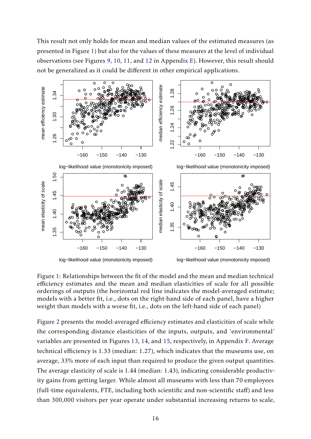This result not only holds for mean and median values of the estimated measures (as presented in Figure [1\)](#page-17-0) but also for the values of these measures at the level of individual observations (see Figures [9,](#page-33-0) [10,](#page-34-0) [11,](#page-35-0) and [12](#page-35-1) in Appendix [E\)](#page-33-1). However, this result should not be generalized as it could be different in other empirical applications.



<span id="page-17-0"></span>Figure 1: Relationships between the fit of the model and the mean and median technical efficiency estimates and the mean and median elasticities of scale for all possible orderings of outputs (the horizontal red line indicates the model-averaged estimate; models with a better fit, i.e., dots on the right-hand side of each panel, have a higher weight than models with a worse fit, i.e., dots on the left-hand side of each panel)

Figure [2](#page-18-0) presents the model-averaged efficiency estimates and elasticities of scale while the corresponding distance elasticities of the inputs, outputs, and 'environmental' variables are presented in Figures [13,](#page-36-0) [14,](#page-37-0) and [15,](#page-38-0) respectively, in Appendix [F.](#page-36-1) Average technical efficiency is 1.33 (median: 1.27), which indicates that the museums use, on average, 33% more of each input than required to produce the given output quantities. The average elasticity of scale is 1.44 (median: 1.43), indicating considerable productivity gains from getting larger. While almost all museums with less than 70 employees (full-time equivalents, FTE, including both scientific and non-scientific staff) and less than 300,000 visitors per year operate under substantial increasing returns to scale,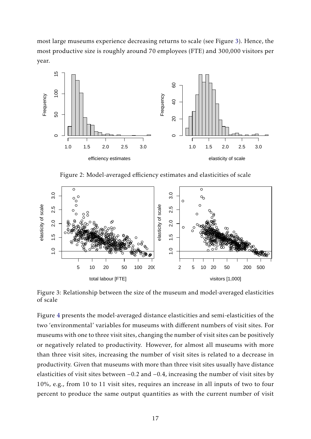most large museums experience decreasing returns to scale (see Figure [3\)](#page-18-1). Hence, the most productive size is roughly around 70 employees (FTE) and 300,000 visitors per year.



<span id="page-18-0"></span>Figure 2: Model-averaged efficiency estimates and elasticities of scale



<span id="page-18-1"></span>Figure 3: Relationship between the size of the museum and model-averaged elasticities of scale

Figure [4](#page-20-0) presents the model-averaged distance elasticities and semi-elasticities of the two 'environmental' variables for museums with different numbers of visit sites. For museums with one to three visit sites, changing the number of visit sites can be positively or negatively related to productivity. However, for almost all museums with more than three visit sites, increasing the number of visit sites is related to a decrease in productivity. Given that museums with more than three visit sites usually have distance elasticities of visit sites between −0*.*2 and −0*.*4, increasing the number of visit sites by 10%, e.g., from 10 to 11 visit sites, requires an increase in all inputs of two to four percent to produce the same output quantities as with the current number of visit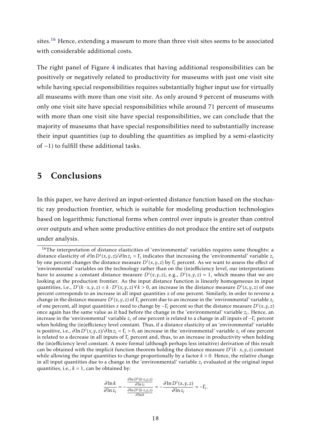sites.<sup>[16](#page-2-0)</sup> Hence, extending a museum to more than three visit sites seems to be associated with considerable additional costs.

The right panel of Figure [4](#page-20-0) indicates that having additional responsibilities can be positively or negatively related to productivity for museums with just one visit site while having special responsibilities requires substantially higher input use for virtually all museums with more than one visit site. As only around 9 percent of museums with only one visit site have special responsibilities while around 71 percent of museums with more than one visit site have special responsibilities, we can conclude that the majority of museums that have special responsibilities need to substantially increase their input quantities (up to doubling the quantities as implied by a semi-elasticity of −1) to fulfill these additional tasks.

## 5 Conclusions

In this paper, we have derived an input-oriented distance function based on the stochastic ray production frontier, which is suitable for modeling production technologies based on logarithmic functional forms when control over inputs is greater than control over outputs and when some productive entities do not produce the entire set of outputs under analysis.

$$
\frac{\partial \ln k}{\partial \ln z_i} = -\frac{\frac{\partial \ln D^i(k \cdot x, y, z)}{\partial \ln z_i}}{\frac{\partial \ln D^i(k \cdot x, y, z)}{\partial \ln k}} = -\frac{\partial \ln D^i(x, y, z)}{\partial \ln z_i} = -\Gamma_i.
$$

<sup>&</sup>lt;sup>16</sup>The interpretation of distance elasticities of 'environmental' variables requires some thoughts: a distance elasticity of  $\partial \ln D^i(x, y, z)/\partial \ln z_i = \Gamma_i$  indicates that increasing the 'environmental' variable  $z_i$ by one percent changes the distance measure  $D^i(x,y,z)$  by  $\Gamma_i$  percent. As we want to assess the effect of 'environmental' variables on the technology rather than on the (in)efficiency level, our interpretations have to assume a constant distance measure  $D^i(x,y,z)$ , e.g.,  $D^i(x,y,z) = 1$ , which means that we are looking at the production frontier. As the input distance function is linearly homogeneous in input quantities, i.e.,  $D^i(k \cdot x, y, z) = k \cdot D^i(x, y, z) \forall k > 0$ , an increase in the distance measure  $D^i(x, y, z)$  of one percent corresponds to an increase in all input quantities *x* of one percent. Similarly, in order to reverse a change in the distance measure  $D^i(x, y, z)$  of  $\Gamma_i$  percent due to an increase in the 'environmental' variable  $z_i$ of one percent, all input quantities *x* need to change by −Γ*<sup>i</sup>* percent so that the distance measure *D<sup>i</sup>* (*x,y, z*) once again has the same value as it had before the change in the 'environmental' variable *z<sup>i</sup>* . Hence, an increase in the 'environmental' variable *z<sup>i</sup>* of one percent is related to a change in all inputs of −Γ*<sup>i</sup>* percent when holding the (in)efficiency level constant. Thus, if a distance elasticity of an 'environmental' variable is positive, i.e., *∂*ln*D<sup>i</sup>* (*x,y, z*)*/∂*ln*z<sup>i</sup>* = Γ*<sup>i</sup> >* 0, an increase in the 'environmental' variable *z<sup>i</sup>* of one percent is related to a decrease in all inputs of Γ*<sup>i</sup>* percent and, thus, to an increase in productivity when holding the (in)efficiency level constant. A more formal (although perhaps less intuitive) derivation of this result can be obtained with the implicit function theorem holding the distance measure  $D^{i}(k \cdot x, y, z)$  constant while allowing the input quantities to change proportionally by a factor *k >* 0. Hence, the relative change in all input quantities due to a change in the 'environmental' variable *z<sup>i</sup>* evaluated at the original input quantities, i.e.,  $k = 1$ , can be obtained by: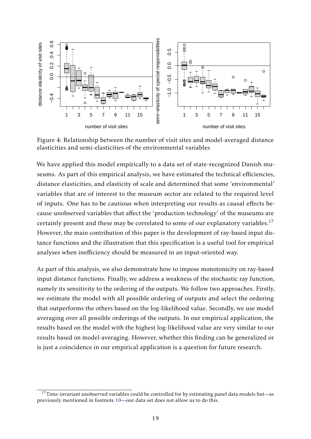

<span id="page-20-0"></span>Figure 4: Relationship between the number of visit sites and model-averaged distance elasticities and semi-elasticities of the environmental variables

We have applied this model empirically to a data set of state-recognized Danish museums. As part of this empirical analysis, we have estimated the technical efficiencies, distance elasticities, and elasticity of scale and determined that some 'environmental' variables that are of interest to the museum sector are related to the required level of inputs. One has to be cautious when interpreting our results as causal effects because unobserved variables that affect the 'production technology' of the museums are certainly present and these may be correlated to some of our explanatory variables.<sup>[17](#page-2-0)</sup> However, the main contribution of this paper is the development of ray-based input distance functions and the illustration that this specification is a useful tool for empirical analyses when inefficiency should be measured in an input-oriented way.

As part of this analysis, we also demonstrate how to impose monotonicity on ray-based input distance functions. Finally, we address a weakness of the stochastic ray function, namely its sensitivity to the ordering of the outputs. We follow two approaches. Firstly, we estimate the model with all possible ordering of outputs and select the ordering that outperforms the others based on the log-likelihood value. Secondly, we use model averaging over all possible orderings of the outputs. In our empirical application, the results based on the model with the highest log-likelihood value are very similar to our results based on model-averaging. However, whether this finding can be generalized or is just a coincidence in our empirical application is a question for future research.

 $17$ Time-invariant unobserved variables could be controlled for by estimating panel data models but—as previously mentioned in footnote [10—](#page-12-0)our data set does not allow us to do this.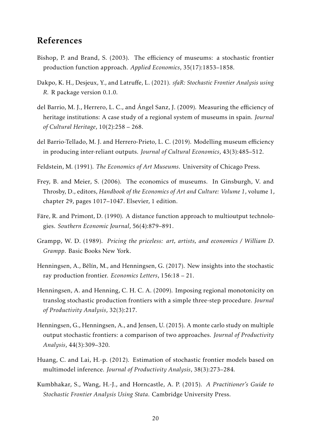## References

- <span id="page-21-7"></span>Bishop, P. and Brand, S. (2003). The efficiency of museums: a stochastic frontier production function approach. *Applied Economics*, 35(17):1853–1858.
- <span id="page-21-10"></span>Dakpo, K. H., Desjeux, Y., and Latruffe, L. (2021). *sfaR: Stochastic Frontier Analysis using R.* R package version 0.1.0.
- <span id="page-21-8"></span>del Barrio, M. J., Herrero, L. C., and Ángel Sanz, J. (2009). Measuring the efficiency of heritage institutions: A case study of a regional system of museums in spain. *Journal of Cultural Heritage*, 10(2):258 – 268.
- <span id="page-21-9"></span>del Barrio-Tellado, M. J. and Herrero-Prieto, L. C. (2019). Modelling museum efficiency in producing inter-reliant outputs. *Journal of Cultural Economics*, 43(3):485–512.
- <span id="page-21-4"></span>Feldstein, M. (1991). *The Economics of Art Museums*. University of Chicago Press.
- <span id="page-21-5"></span>Frey, B. and Meier, S. (2006). The economics of museums. In Ginsburgh, V. and Throsby, D., editors, *Handbook of the Economics of Art and Culture: Volume 1*, volume 1, chapter 29, pages 1017–1047. Elsevier, 1 edition.
- <span id="page-21-0"></span>Fare, R. and Primont, D. (1990). A distance function approach to multioutput technologies. *Southern Economic Journal*, 56(4):879–891.
- <span id="page-21-6"></span>Grampp, W. D. (1989). *Pricing the priceless: art, artists, and economics / William D. Grampp*. Basic Books New York.
- <span id="page-21-11"></span>Henningsen, A., Bělín, M., and Henningsen, G. (2017). New insights into the stochastic ray production frontier. *Economics Letters*, 156:18 – 21.
- <span id="page-21-3"></span>Henningsen, A. and Henning, C. H. C. A. (2009). Imposing regional monotonicity on translog stochastic production frontiers with a simple three-step procedure. *Journal of Productivity Analysis*, 32(3):217.
- <span id="page-21-1"></span>Henningsen, G., Henningsen, A., and Jensen, U. (2015). A monte carlo study on multiple output stochastic frontiers: a comparison of two approaches. *Journal of Productivity Analysis*, 44(3):309–320.
- <span id="page-21-12"></span>Huang, C. and Lai, H.-p. (2012). Estimation of stochastic frontier models based on multimodel inference. *Journal of Productivity Analysis*, 38(3):273–284.
- <span id="page-21-2"></span>Kumbhakar, S., Wang, H.-J., and Horncastle, A. P. (2015). *A Practitioner's Guide to Stochastic Frontier Analysis Using Stata*. Cambridge University Press.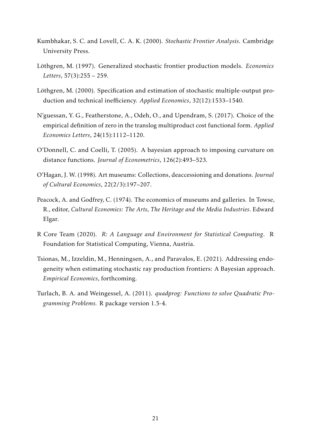- <span id="page-22-2"></span>Kumbhakar, S. C. and Lovell, C. A. K. (2000). *Stochastic Frontier Analysis*. Cambridge University Press.
- <span id="page-22-0"></span>Löthgren, M. (1997). Generalized stochastic frontier production models. Economics *Letters*, 57(3):255 – 259.
- <span id="page-22-1"></span>Löthgren, M. (2000). Specification and estimation of stochastic multiple-output production and technical inefficiency. *Applied Economics*, 32(12):1533–1540.
- <span id="page-22-3"></span>N'guessan, Y. G., Featherstone, A., Odeh, O., and Upendram, S. (2017). Choice of the empirical definition of zero in the translog multiproduct cost functional form. *Applied Economics Letters*, 24(15):1112–1120.
- <span id="page-22-4"></span>O'Donnell, C. and Coelli, T. (2005). A bayesian approach to imposing curvature on distance functions. *Journal of Econometrics*, 126(2):493–523.
- <span id="page-22-5"></span>O'Hagan, J. W. (1998). Art museums: Collections, deaccessioning and donations. *Journal of Cultural Economics*, 22(2/3):197–207.
- <span id="page-22-6"></span>Peacock, A. and Godfrey, C. (1974). The economics of museums and galleries. In Towse, R., editor, *Cultural Economics: The Arts, The Heritage and the Media Industries*. Edward Elgar.
- <span id="page-22-7"></span>R Core Team (2020). *R: A Language and Environment for Statistical Computing*. R Foundation for Statistical Computing, Vienna, Austria.
- <span id="page-22-9"></span>Tsionas, M., Izzeldin, M., Henningsen, A., and Paravalos, E. (2021). Addressing endogeneity when estimating stochastic ray production frontiers: A Bayesian approach. *Empirical Economics*, forthcoming.
- <span id="page-22-8"></span>Turlach, B. A. and Weingessel, A. (2011). *quadprog: Functions to solve Quadratic Programming Problems.* R package version 1.5-4.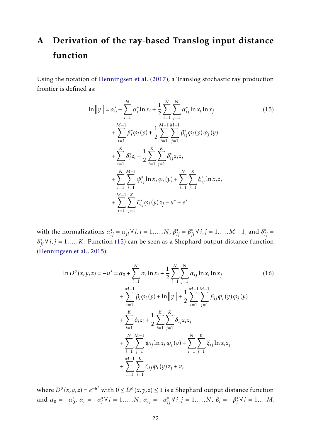## <span id="page-23-0"></span>A Derivation of the ray-based Translog input distance function

Using the notation of [Henningsen et al.](#page-21-11) [\(2017\)](#page-21-11), a Translog stochastic ray production frontier is defined as:

<span id="page-23-1"></span>
$$
\ln ||y|| = \alpha_0^* + \sum_{i=1}^N \alpha_i^* \ln x_i + \frac{1}{2} \sum_{i=1}^N \sum_{j=1}^N \alpha_{ij}^* \ln x_i \ln x_j
$$
\n
$$
+ \sum_{i=1}^{M-1} \beta_i^* \varphi_i(y) + \frac{1}{2} \sum_{i=1}^{M-1} \sum_{j=1}^{M-1} \beta_{ij}^* \varphi_i(y) \varphi_j(y)
$$
\n
$$
+ \sum_{i=1}^K \delta_i^* z_i + \frac{1}{2} \sum_{i=1}^K \sum_{j=1}^K \delta_{ij}^* z_i z_j
$$
\n
$$
+ \sum_{i=1}^N \sum_{j=1}^{M-1} \psi_{ij}^* \ln x_j \varphi_i(y) + \sum_{i=1}^N \sum_{j=1}^K \xi_{ij}^* \ln x_i z_j
$$
\n
$$
+ \sum_{i=1}^{M-1} \sum_{j=1}^K \zeta_{ij}^* \varphi_i(y) z_j - u^* + v^*
$$
\n(15)

with the normalizations  $\alpha_{ij}^* = \alpha_{ji}^* \forall i, j = 1,...,N$ ,  $\beta_{ij}^* = \beta_{ji}^* \forall i, j = 1,...,M-1$ , and  $\delta_{ij}^* = \beta_{ji}^* \forall i, j = 1,...,M-1$  $\delta_{ji}^* \forall i, j = 1,...,K$ . Function [\(15\)](#page-23-1) can be seen as a Shephard output distance function [\(Henningsen et al.,](#page-21-1) [2015\)](#page-21-1):

$$
\ln D^o(x, y, z) = -u^* = \alpha_0 + \sum_{i=1}^N \alpha_i \ln x_i + \frac{1}{2} \sum_{i=1}^N \sum_{j=1}^N \alpha_{ij} \ln x_i \ln x_j
$$
\n
$$
+ \sum_{i=1}^{M-1} \beta_i \varphi_i(y) + \ln ||y|| + \frac{1}{2} \sum_{i=1}^{M-1} \sum_{j=1}^{M-1} \beta_i \varphi_i(y) \varphi_j(y)
$$
\n
$$
+ \sum_{i=1}^K \delta_i z_i + \frac{1}{2} \sum_{i=1}^K \sum_{j=1}^K \delta_{ij} z_i z_j
$$
\n
$$
+ \sum_{i=1}^N \sum_{j=1}^{M-1} \psi_{ij} \ln x_i \varphi_j(y) + \sum_{i=1}^N \sum_{j=1}^K \xi_{ij} \ln x_i z_j
$$
\n
$$
+ \sum_{i=1}^{M-1} \sum_{j=1}^K \zeta_{ij} \varphi_i(y) z_j + v,
$$
\n(16)

where  $D<sup>o</sup>(x, y, z) = e<sup>−u<sup>∗</sup></sup>$  with  $0 ≤ D<sup>o</sup>(x, y, z) ≤ 1$  is a Shephard output distance function and  $\alpha_0 = -\alpha_0^*$  $\alpha_i$ <sub>*i*</sub> =  $-\alpha_i^*$  $\alpha_i^* \forall i = 1,...,N$ ,  $\alpha_{ij} = -\alpha_{ij}^* \forall i, j = 1,...,N$ ,  $\beta_i = -\beta_i^*$  $i_i^* \forall i = 1,...M$ ,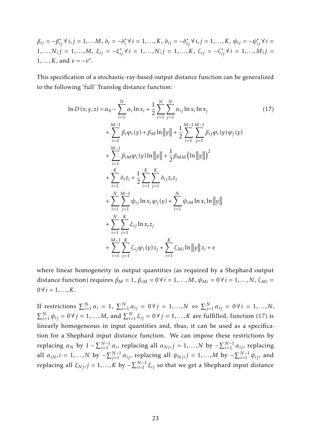$\beta_{ij} = -\beta_{ij}^* \forall i, j = 1,...M, \delta_i = -\delta_i^*$  $\psi_i^* \forall i = 1,...,K$ ,  $\delta_{ij} = -\delta_{ij}^* \forall i, j = 1,...,K$ ,  $\psi_{ij} = -\psi_{ij}^* \forall i =$ 1,...,N; $j = 1, ..., M$ ,  $\xi_{ij} = -\xi_{ij}^* \forall i = 1, ..., N; j = 1, ..., K$ ,  $\zeta_{ij} = -\zeta_{ij}^* \forall i = 1, ..., M; j =$ 1,...,*K*, and  $v = -v^*$ .

This specification of a stochastic-ray-based output distance function can be generalized to the following 'full' Translog distance function:

<span id="page-24-0"></span>
$$
\ln D(x, y, z) = \alpha_0 - \sum_{i=1}^{N} \alpha_i \ln x_i + \frac{1}{2} \sum_{i=1}^{N} \sum_{j=1}^{N} \alpha_{ij} \ln x_i \ln x_j
$$
(17)  
+ 
$$
\sum_{i=1}^{M-1} \beta_i \varphi_i(y) + \beta_M \ln ||y|| + \frac{1}{2} \sum_{i=1}^{M-1} \sum_{j=1}^{M-1} \beta_{ij} \varphi_i(y) \varphi_j(y)
$$
  
+ 
$$
\sum_{i=1}^{M-1} \beta_{iM} \varphi_i(y) \ln ||y|| + \frac{1}{2} \beta_{MM} (\ln ||y||)^2
$$
  
+ 
$$
\sum_{i=1}^{K} \delta_i z_i + \frac{1}{2} \sum_{i=1}^{K} \sum_{j=1}^{K} \delta_{ij} z_i z_j
$$
  
+ 
$$
\sum_{i=1}^{N} \sum_{j=1}^{M-1} \psi_{ij} \ln x_i \varphi_j(y) + \sum_{i=1}^{N} \psi_{iM} \ln x_i \ln ||y||
$$
  
+ 
$$
\sum_{i=1}^{N} \sum_{j=1}^{K} \xi_{ij} \ln x_i z_j
$$
  
+ 
$$
\sum_{i=1}^{M-1} \sum_{j=1}^{K} \zeta_{ij} \varphi_i(y) z_j + \sum_{i=1}^{K} \zeta_{Mi} \ln ||y|| z_i + v
$$
(17)

where linear homogeneity in output quantities (as required by a Shephard output distance function) requires  $\beta_M = 1$ ,  $\beta_{iM} = 0 \forall i = 1,...,M$ ,  $\psi_{Mi} = 0 \forall i = 1,...,N$ ,  $\zeta_{Mi} =$  $0 \forall i = 1,..., K.$ 

If restrictions  $\sum_{i=1}^{N} \alpha_i = 1$ ,  $\sum_{i=1}^{N} \alpha_{ij} = 0 \forall j = 1,...,N \Leftrightarrow \sum_{j=1}^{N} \alpha_{ij} = 0 \forall i = 1,...,N$ ,  $\sum_{i=1}^{N} \psi_{ij} = 0 \forall j = 1,...,M$ , and  $\sum_{i=1}^{N} \xi_{ij} = 0 \forall j = 1,...,K$  are fulfilled, function [\(17\)](#page-24-0) is linearly homogeneous in input quantities and, thus, it can be used as a specification for a Shephard input distance function. We can impose these restrictions by replacing  $\alpha_N$  by  $1 - \sum_{i=1}^{N-1} \alpha_i$ , replacing all  $\alpha_{Nj}$ ,  $j = 1,...,N$  by  $-\sum_{i=1}^{N-1} \alpha_{ij}$ , replacing all  $\alpha_{iN}$ ,  $i = 1,..., N$  by  $-\sum_{j=1}^{N-1} \alpha_{ij}$ , replacing all  $\psi_{Nj}$ ,  $j = 1,..., M$  by  $-\sum_{i=1}^{N-1} \psi_{ij}$ , and replacing all  $\xi_{Nj}$ *, j* = 1,...,K by −  $\sum_{i=1}^{N-1} \xi_{ij}$  so that we get a Shephard input distance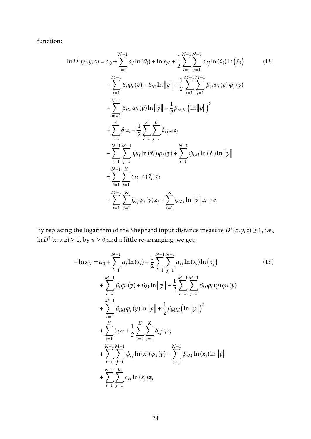function:

$$
\ln D^{i}(x, y, z) = \alpha_{0} + \sum_{i=1}^{N-1} \alpha_{i} \ln(\tilde{x}_{i}) + \ln x_{N} + \frac{1}{2} \sum_{i=1}^{N-1} \sum_{j=1}^{N-1} \alpha_{ij} \ln(\tilde{x}_{i}) \ln(\tilde{x}_{j})
$$
\n
$$
+ \sum_{i=1}^{M-1} \beta_{i} \varphi_{i}(y) + \beta_{M} \ln ||y|| + \frac{1}{2} \sum_{i=1}^{M-1} \sum_{j=1}^{M-1} \beta_{ij} \varphi_{i}(y) \varphi_{j}(y)
$$
\n
$$
+ \sum_{m=1}^{M-1} \beta_{iM} \varphi_{i}(y) \ln ||y|| + \frac{1}{2} \beta_{MM} (\ln ||y||)^{2}
$$
\n
$$
+ \sum_{i=1}^{K} \delta_{i} z_{i} + \frac{1}{2} \sum_{i=1}^{K} \sum_{j=1}^{K} \delta_{ij} z_{i} z_{j}
$$
\n
$$
+ \sum_{i=1}^{N-1} \sum_{j=1}^{M-1} \psi_{ij} \ln(\tilde{x}_{i}) \varphi_{j}(y) + \sum_{i=1}^{N-1} \psi_{iM} \ln(\tilde{x}_{i}) \ln ||y||
$$
\n
$$
+ \sum_{i=1}^{N-1} \sum_{j=1}^{K} \xi_{ij} \ln(\tilde{x}_{i}) z_{j}
$$
\n
$$
+ \sum_{i=1}^{M-1} \sum_{j=1}^{K} \zeta_{ij} \varphi_{i}(y) z_{j} + \sum_{i=1}^{K} \zeta_{Mi} \ln ||y|| z_{i} + v.
$$
\n(18)

By replacing the logarithm of the Shephard input distance measure  $D^{i}(x, y, z) \geq 1$ , i.e.,  $\ln D^i(x,y,z) \geq 0$ , by  $u \geq 0$  and a little re-arranging, we get:

$$
-\ln x_N = \alpha_0 + \sum_{i=1}^{N-1} \alpha_i \ln(\tilde{x}_i) + \frac{1}{2} \sum_{i=1}^{N-1} \sum_{j=1}^{N-1} \alpha_{ij} \ln(\tilde{x}_i) \ln(\tilde{x}_j)
$$
(19)  
+ 
$$
\sum_{i=1}^{M-1} \beta_i \varphi_i(y) + \beta_M \ln ||y|| + \frac{1}{2} \sum_{i=1}^{M-1} \sum_{j=1}^{M-1} \beta_{ij} \varphi_i(y) \varphi_j(y)
$$
  
+ 
$$
\sum_{i=1}^{M-1} \beta_{iM} \varphi_i(y) \ln ||y|| + \frac{1}{2} \beta_{MM} (\ln ||y||)^2
$$
  
+ 
$$
\sum_{i=1}^{K} \delta_i z_i + \frac{1}{2} \sum_{i=1}^{K} \sum_{j=1}^{K} \delta_{ij} z_i z_j
$$
  
+ 
$$
\sum_{i=1}^{N-1} \sum_{j=1}^{M-1} \psi_{ij} \ln(\tilde{x}_i) \varphi_j(y) + \sum_{i=1}^{N-1} \psi_{iM} \ln(\tilde{x}_i) \ln ||y||
$$
  
+ 
$$
\sum_{i=1}^{N-1} \sum_{j=1}^{K} \xi_{ij} \ln(\tilde{x}_i) z_j
$$
(19)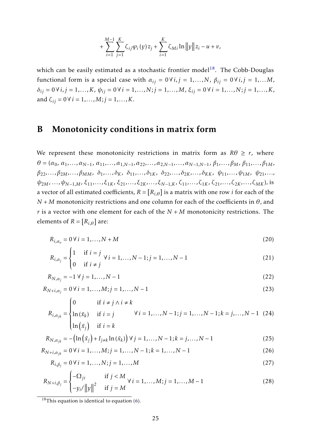$$
+\sum_{i=1}^{M-1}\sum_{j=1}^{K}\zeta_{ij}\varphi_{i}(y)z_{j}+\sum_{i=1}^{K}\zeta_{Mi}\ln\|y\|z_{i}-u+v,
$$

which can be easily estimated as a stochastic frontier model<sup>[18](#page-2-0)</sup>. The Cobb-Douglas functional form is a special case with  $\alpha_{ij} = 0 \forall i, j = 1,...,N$ ,  $\beta_{ij} = 0 \forall i, j = 1,...,M$ , *δij* = 0∀*i, j* = 1*,...,K*, *ψij* = 0∀*i* = 1*,...,N*;*j* = 1*,...,M*, *ξij* = 0∀*i* = 1*,...,N*;*j* = 1*,...,K*, and  $\zeta_{ij} = 0 \forall i = 1, ..., M; j = 1, ..., K$ .

## <span id="page-26-0"></span>B Monotonicity conditions in matrix form

We represent these monotonicity restrictions in matrix form as  $R\theta \ge r$ , where  $\theta = (\alpha_0, \alpha_1, \ldots, \alpha_{N-1}, \alpha_{11}, \ldots, \alpha_{1,N-1}, \alpha_{22}, \ldots, \alpha_{2,N-1}, \ldots, \alpha_{N-1,N-1}, \beta_1, \ldots, \beta_M, \beta_{11}, \ldots, \beta_{1M},$  $\beta_{22},...,\beta_{2M},...,\beta_{MM}, \delta_1,...,\delta_K, \delta_{11},...,\delta_{1K}, \delta_{22},...,\delta_{2K},...,\delta_{KK}, \psi_{11},...,\psi_{1M}, \psi_{21},...$  $\psi_{2M}, \ldots, \psi_{N-1,M}, \xi_{11}, \ldots, \xi_{1K}, \xi_{21}, \ldots, \xi_{2K}, \ldots, \xi_{N-1,K}, \zeta_{11}, \ldots, \zeta_{1K}, \zeta_{21}, \ldots, \zeta_{2K}, \ldots, \zeta_{MK}),$  is a vector of all estimated coefficients,  $R = [R_{i,\theta}]$  is a matrix with one row *i* for each of the *N* + *M* monotonicity restrictions and one column for each of the coefficients in *θ*, and *r* is a vector with one element for each of the  $N + M$  monotonicity restrictions. The elements of  $R = [R_{i,\theta}]$  are:

$$
R_{i,\alpha_o} = 0 \,\forall \, i = 1,\ldots,N+M \tag{20}
$$

$$
R_{i,\alpha_j} = \begin{cases} 1 & \text{if } i = j \\ 0 & \text{if } i \neq j \end{cases} \forall i = 1,..., N-1; j = 1,..., N-1
$$
 (21)

$$
R_{N,a_j} = -1 \ \forall \ j = 1, \dots, N-1 \tag{22}
$$

$$
R_{N+i,\alpha_j} = 0 \,\forall \, i = 1, \dots, M; j = 1, \dots, N-1 \tag{23}
$$

$$
R_{i,\alpha_{jk}} = \begin{cases} 0 & \text{if } i \neq j \land i \neq k \\ \ln(\tilde{x}_k) & \text{if } i = j \\ \ln(\tilde{x}_j) & \text{if } i = k \end{cases} \quad \forall i = 1,..., N-1; j = 1,..., N-1; k = j,..., N-1 \quad (24)
$$

$$
R_{N, \alpha_{jk}} = -\left(\ln(\tilde{x}_j) + I_{j \neq k} \ln(\tilde{x}_k)\right) \forall j = 1, ..., N - 1; k = j, ..., N - 1
$$
\n(25)

$$
R_{N+i,\alpha_{jk}} = 0 \,\forall \, i = 1,\dots,M; j = 1,\dots,N-1; k = 1,\dots,N-1
$$
\n(26)

$$
R_{i,\beta_j} = 0 \,\forall \, i = 1, \dots, N; j = 1, \dots, M \tag{27}
$$

$$
R_{N+i,\beta_j} = \begin{cases} -\Omega_{ji} & \text{if } j < M \\ -y_i / ||y||^2 & \text{if } j = M \end{cases} \forall i = 1,...,M; j = 1,...,M-1
$$
 (28)

 $18$ This equation is identical to equation [\(6\)](#page-7-0).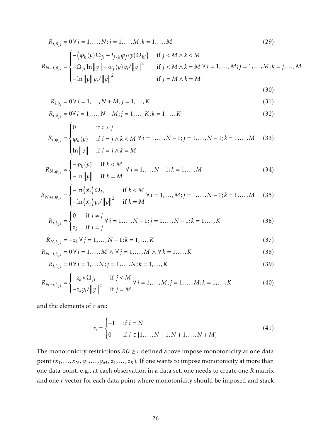$$
R_{i,\beta_{jk}} = 0 \,\forall \, i = 1,..., N; j = 1,..., M; k = 1,..., M
$$
\n
$$
R_{N+i,\beta_{jk}} = \begin{cases} -\left(\varphi_k(y)\Omega_{ji} + I_{j\neq k}\varphi_j(y)\Omega_{ki}\right) & \text{if } j < M \wedge k < M \\ -\Omega_{ji}\ln\|y\| - \varphi_j(y)y_i/\|y\|^2 & \text{if } j < M \wedge k = M \,\forall \, i = 1,..., M; j = 1,..., M; k = j,..., M \\ -\ln\|y\|y_i/\|y\|^2 & \text{if } j = M \wedge k = M \end{cases} \tag{29}
$$

(30)

$$
R_{i, \delta_j} = 0 \,\forall \, i = 1, \dots, N + M; j = 1, \dots, K \tag{31}
$$

$$
R_{i,\delta_{jk}} = 0 \forall i = 1,..., N + M; j = 1,..., K; k = 1,..., K
$$
\n(32)

$$
R_{i,\psi_{jk}} = \begin{cases} 0 & \text{if } i \neq j \\ \varphi_k(y) & \text{if } i = j \land k < M \forall i = 1, \dots, N-1; j = 1, \dots, N-1; k = 1, \dots, M \quad (33) \\ \ln \|y\| & \text{if } i = j \land k = M \end{cases}
$$

$$
R_{N,\psi_{jk}} = \begin{cases} -\varphi_k(y) & \text{if } k < M \\ -\ln \|y\| & \text{if } k = M \end{cases} \ \forall \ j = 1, ..., N-1; k = 1, ..., M \tag{34}
$$

$$
R_{N+i,\psi_{jk}} = \begin{cases} -\ln(\tilde{x}_j) \, \Omega_{ki} & \text{if } k < M \\ -\ln(\tilde{x}_j) \, y_i / \|y\|^2 & \text{if } k = M \end{cases} \quad \forall \, i = 1, \dots, M; j = 1, \dots, N-1; k = 1, \dots, M \tag{35}
$$

$$
R_{i,\xi_{jk}} = \begin{cases} 0 & \text{if } i \neq j \\ z_k & \text{if } i = j \end{cases} \forall i = 1,..., N-1; j = 1,..., N-1; k = 1,..., K \tag{36}
$$

$$
R_{N,\xi_{jk}} = -z_k \,\forall \, j = 1, \dots, N-1; k = 1, \dots, K \tag{37}
$$

$$
R_{N+i,\xi_{jk}} = 0 \,\forall \, i = 1,...,M \,\land\, \forall \, j = 1,...,M \,\land\, \forall \, k = 1,...,K \tag{38}
$$

$$
R_{i,\zeta_{jk}} = 0 \,\forall \, i = 1, \dots, N; j = 1, \dots, N; k = 1, \dots, K
$$
\n(39)

$$
R_{N+i,\zeta_{jk}} = \begin{cases} -z_k * \Omega_{ji} & \text{if } j < M \\ -z_k y_i / ||y||^2 & \text{if } j = M \end{cases} \forall i = 1,...,M; j = 1,...,M; k = 1,...,K
$$
 (40)

and the elements of *r* are:

$$
r_i = \begin{cases} -1 & \text{if } i = N \\ 0 & \text{if } i \in \{1, ..., N - 1, N + 1, ..., N + M\} \end{cases}
$$
(41)

The monotonicity restrictions  $R\theta \ge r$  defined above impose monotonicity at one data point  $(x_1, \ldots, x_N, y_1, \ldots, y_M, z_1, \ldots, z_K)$ . If one wants to impose monotonicity at more than one data point, e.g., at each observation in a data set, one needs to create one *R* matrix and one *r* vector for each data point where monotonicity should be imposed and stack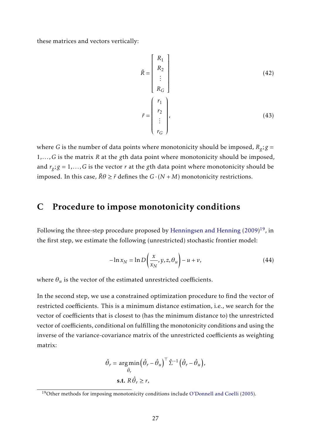these matrices and vectors vertically:

$$
\tilde{R} = \begin{bmatrix} R_1 \\ R_2 \\ \vdots \\ R_G \end{bmatrix}
$$
\n
$$
\tilde{r} = \begin{bmatrix} r_1 \\ r_2 \\ \vdots \\ r_G \end{bmatrix},
$$
\n(43)

where *G* is the number of data points where monotonicity should be imposed,  $R_g$ ;  $g$  = 1*,...,G* is the matrix *R* at the *g*th data point where monotonicity should be imposed, and  $r_g$ ;  $g = 1, \ldots$ , G is the vector  $r$  at the  $g$ th data point where monotonicity should be imposed. In this case,  $\tilde{R}\theta \geq \tilde{r}$  defines the  $G \cdot (N + M)$  monotonicity restrictions.

## <span id="page-28-0"></span>C Procedure to impose monotonicity conditions

Following the three-step procedure proposed by [Henningsen and Henning](#page-21-3)  $(2009)^{19}$  $(2009)^{19}$  $(2009)^{19}$  $(2009)^{19}$ , in the first step, we estimate the following (unrestricted) stochastic frontier model:

$$
-\ln x_N = \ln D\left(\frac{x}{x_N}, y, z, \theta_u\right) - u + v,\tag{44}
$$

where  $\theta_u$  is the vector of the estimated unrestricted coefficients.

In the second step, we use a constrained optimization procedure to find the vector of restricted coefficients. This is a minimum distance estimation, i.e., we search for the vector of coefficients that is closest to (has the minimum distance to) the unrestricted vector of coefficients, conditional on fulfilling the monotonicity conditions and using the inverse of the variance-covariance matrix of the unrestricted coefficients as weighting matrix:

$$
\hat{\theta}_r = \underset{\hat{\theta}_r}{\arg\min} \left( \hat{\theta}_r - \hat{\theta}_u \right)^{\top} \hat{\Sigma}^{-1} \left( \hat{\theta}_r - \hat{\theta}_u \right),
$$
  
s.t.  $R \hat{\theta}_r \ge r$ ,

<sup>19</sup>Other methods for imposing monotonicity conditions include [O'Donnell and Coelli](#page-22-4) [\(2005\)](#page-22-4).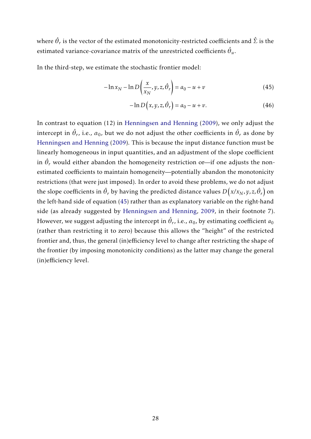where  $\hat{\theta}_r$  is the vector of the estimated monotonicity-restricted coefficients and  $\hat{\Sigma}$  is the estimated variance-covariance matrix of the unrestricted coefficients  $\hat{\theta}_u$ .

In the third-step, we estimate the stochastic frontier model:

$$
-\ln x_N - \ln D\left(\frac{x}{x_N}, y, z, \hat{\theta}_r\right) = a_0 - u + v \tag{45}
$$

<span id="page-29-0"></span>
$$
-\ln D(x, y, z, \hat{\theta}_r) = a_0 - u + v. \tag{46}
$$

In contrast to equation (12) in [Henningsen and Henning](#page-21-3) [\(2009\)](#page-21-3), we only adjust the intercept in  $\hat{\theta}_r$ , i.e.,  $\alpha_0$ , but we do not adjust the other coefficients in  $\hat{\theta}_r$  as done by [Henningsen and Henning](#page-21-3) [\(2009\)](#page-21-3). This is because the input distance function must be linearly homogeneous in input quantities, and an adjustment of the slope coefficient in  $\hat{\theta}_r$  would either abandon the homogeneity restriction or—if one adjusts the nonestimated coefficients to maintain homogeneity—potentially abandon the monotonicity restrictions (that were just imposed). In order to avoid these problems, we do not adjust the slope coefficients in  $\hat{\theta}_r$  by having the predicted distance values  $D\big(x/x_N,y,z,\hat{\theta}_r\big)$  on the left-hand side of equation [\(45\)](#page-29-0) rather than as explanatory variable on the right-hand side (as already suggested by [Henningsen and Henning,](#page-21-3) [2009,](#page-21-3) in their footnote 7). However, we suggest adjusting the intercept in  $\hat{\theta}_r$ , i.e.,  $\alpha_0$ , by estimating coefficient  $a_0$ (rather than restricting it to zero) because this allows the "height" of the restricted frontier and, thus, the general (in)efficiency level to change after restricting the shape of the frontier (by imposing monotonicity conditions) as the latter may change the general (in)efficiency level.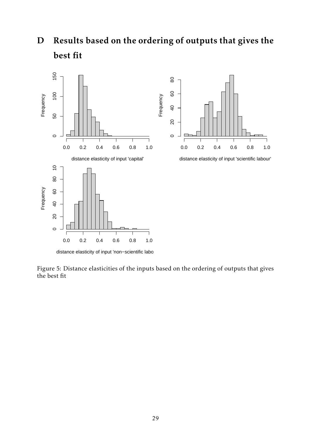<span id="page-30-1"></span>D Results based on the ordering of outputs that gives the best fit



<span id="page-30-0"></span>Figure 5: Distance elasticities of the inputs based on the ordering of outputs that gives the best fit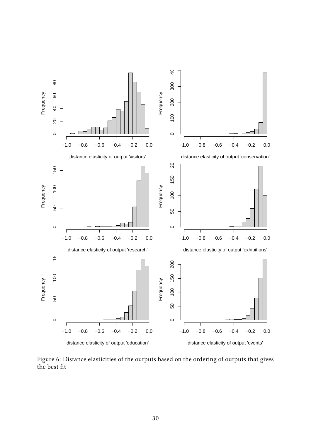

<span id="page-31-0"></span>Figure 6: Distance elasticities of the outputs based on the ordering of outputs that gives the best fit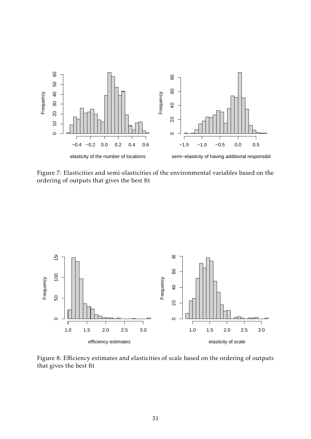

<span id="page-32-0"></span>Figure 7: Elasticities and semi-elasticities of the environmental variables based on the ordering of outputs that gives the best fit



<span id="page-32-1"></span>Figure 8: Efficiency estimates and elasticities of scale based on the ordering of outputs that gives the best fit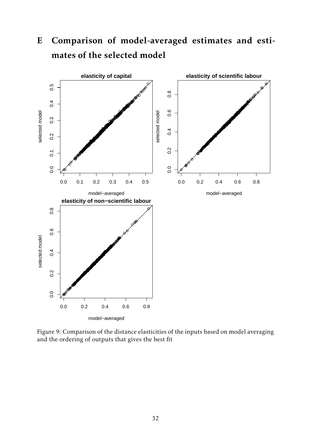

# <span id="page-33-1"></span>E Comparison of model-averaged estimates and estimates of the selected model

<span id="page-33-0"></span>Figure 9: Comparison of the distance elasticities of the inputs based on model averaging and the ordering of outputs that gives the best fit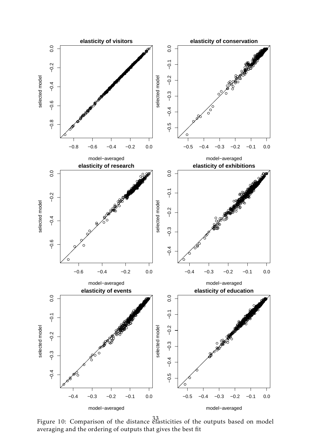

<span id="page-34-0"></span>Figure 10: Comparison of the distance elasticities of the outputs based on model averaging and the ordering of outputs that gives the best fit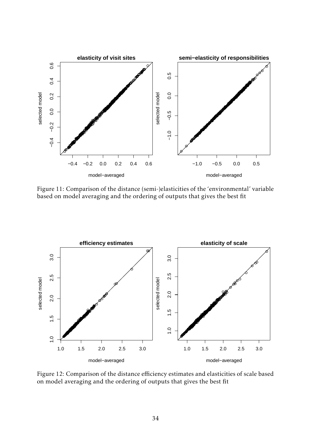

<span id="page-35-0"></span>Figure 11: Comparison of the distance (semi-)elasticities of the 'environmental' variable based on model averaging and the ordering of outputs that gives the best fit



<span id="page-35-1"></span>Figure 12: Comparison of the distance efficiency estimates and elasticities of scale based on model averaging and the ordering of outputs that gives the best fit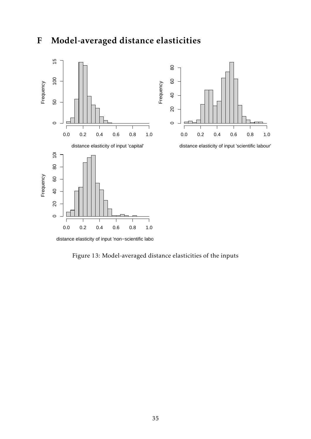## <span id="page-36-1"></span>F Model-averaged distance elasticities



distance elasticity of input 'non-scientific labo

<span id="page-36-0"></span>Figure 13: Model-averaged distance elasticities of the inputs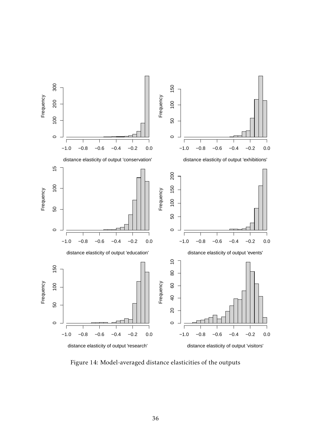

<span id="page-37-0"></span>Figure 14: Model-averaged distance elasticities of the outputs